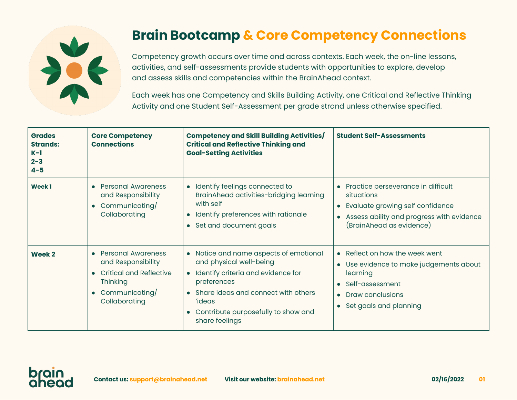

## **Brain Bootcamp & Core Competency Connections**

Competency growth occurs over time and across contexts. Each week, the on-line lessons, activities, and self-assessments provide students with opportunities to explore, develop and assess skills and competencies within the BrainAhead context.

Each week has one Competency and Skills Building Activity, one Critical and Reflective Thinking Activity and one Student Self-Assessment per grade strand unless otherwise specified.

| <b>Grades</b><br><b>Strands:</b><br>$K-1$<br>$2 - 3$<br>$4 - 5$ | <b>Core Competency</b><br><b>Connections</b>                                                                                            | Competency and Skill Building Activities/<br><b>Critical and Reflective Thinking and</b><br><b>Goal-Setting Activities</b>                                                                                                                                        | <b>Student Self-Assessments</b>                                                                                                                                                |
|-----------------------------------------------------------------|-----------------------------------------------------------------------------------------------------------------------------------------|-------------------------------------------------------------------------------------------------------------------------------------------------------------------------------------------------------------------------------------------------------------------|--------------------------------------------------------------------------------------------------------------------------------------------------------------------------------|
| <b>Week1</b>                                                    | <b>Personal Awareness</b><br>and Responsibility<br>Communicating/<br>Collaborating                                                      | Identify feelings connected to<br>BrainAhead activities-bridging learning<br>with self<br>Identify preferences with rationale<br>Set and document goals<br>$\bullet$                                                                                              | • Practice perseverance in difficult<br>situations<br>• Evaluate growing self confidence<br>Assess ability and progress with evidence<br>$\bullet$<br>(BrainAhead as evidence) |
| Week 2                                                          | <b>Personal Awareness</b><br>and Responsibility<br><b>Critical and Reflective</b><br><b>Thinking</b><br>Communicating/<br>Collaborating | • Notice and name aspects of emotional<br>and physical well-being<br>Identify criteria and evidence for<br>preferences<br>Share ideas and connect with others<br>$\bullet$<br><i>'ideas</i><br>Contribute purposefully to show and<br>$\bullet$<br>share feelings | • Reflect on how the week went<br>• Use evidence to make judgements about<br>learning<br>• Self-assessment<br>• Draw conclusions<br>• Set goals and planning                   |

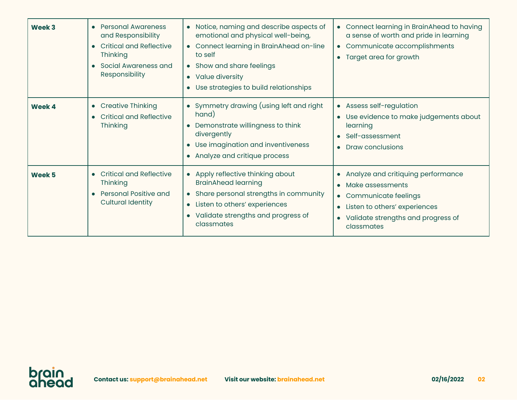| Week 3 | • Personal Awareness<br>and Responsibility<br>• Critical and Reflective<br>Thinking<br>• Social Awareness and<br>Responsibility | Notice, naming and describe aspects of<br>emotional and physical well-being,<br>• Connect learning in BrainAhead on-line<br>to self<br>• Show and share feelings<br>• Value diversity<br>Use strategies to build relationships | • Connect learning in BrainAhead to having<br>a sense of worth and pride in learning<br>• Communicate accomplishments<br>Target area for growth<br>$\bullet$                                                              |
|--------|---------------------------------------------------------------------------------------------------------------------------------|--------------------------------------------------------------------------------------------------------------------------------------------------------------------------------------------------------------------------------|---------------------------------------------------------------------------------------------------------------------------------------------------------------------------------------------------------------------------|
| Week 4 | • Creative Thinking<br>• Critical and Reflective<br><b>Thinking</b>                                                             | • Symmetry drawing (using left and right<br>hand)<br>Demonstrate willingness to think<br>divergently<br>Use imagination and inventiveness<br>• Analyze and critique process                                                    | • Assess self-regulation<br>Use evidence to make judgements about<br>learning<br>Self-assessment<br><b>Draw conclusions</b>                                                                                               |
| Week 5 | • Critical and Reflective<br><b>Thinking</b><br>• Personal Positive and<br><b>Cultural Identity</b>                             | Apply reflective thinking about<br><b>BrainAhead learning</b><br>• Share personal strengths in community<br>Listen to others' experiences<br>Validate strengths and progress of<br>classmates                                  | Analyze and critiquing performance<br>$\bullet$<br>Make assessments<br>$\bullet$<br>• Communicate feelings<br>Listen to others' experiences<br>$\bullet$<br>Validate strengths and progress of<br>$\bullet$<br>classmates |

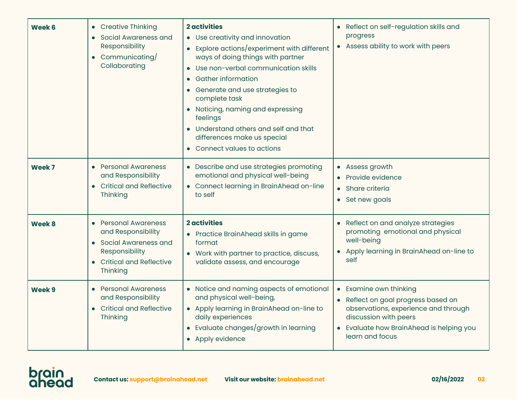| Week 6            | • Creative Thinking<br>• Social Awareness and<br>Responsibility<br>• Communicating/<br>Collaborating                            | <b>2</b> activities<br>• Use creativity and innovation<br>Explore actions/experiment with different<br>ways of doing things with partner<br>Use non-verbal communication skills<br><b>Gather information</b><br>Generate and use strategies to<br>complete task<br>• Noticing, naming and expressing<br>feelings<br>Understand others and self and that<br>differences make us special<br>• Connect values to actions | Reflect on self-regulation skills and<br>progress<br>• Assess ability to work with peers                                                                                                    |
|-------------------|---------------------------------------------------------------------------------------------------------------------------------|-----------------------------------------------------------------------------------------------------------------------------------------------------------------------------------------------------------------------------------------------------------------------------------------------------------------------------------------------------------------------------------------------------------------------|---------------------------------------------------------------------------------------------------------------------------------------------------------------------------------------------|
| Week <sub>7</sub> | • Personal Awareness<br>and Responsibility<br>• Critical and Reflective<br>Thinking                                             | • Describe and use strategies promoting<br>emotional and physical well-being<br>• Connect learning in BrainAhead on-line<br>to self                                                                                                                                                                                                                                                                                   | • Assess growth<br>Provide evidence<br>• Share criteria<br>Set new goals<br>$\bullet$                                                                                                       |
| Week 8            | • Personal Awareness<br>and Responsibility<br>• Social Awareness and<br>Responsibility<br>• Critical and Reflective<br>Thinking | <b>2</b> activities<br>• Practice BrainAhead skills in game<br>format<br>Work with partner to practice, discuss,<br>validate assess, and encourage                                                                                                                                                                                                                                                                    | Reflect on and analyze strategies<br>$\bullet$<br>promoting emotional and physical<br>well-being<br>Apply learning in BrainAhead on-line to<br>self                                         |
| Week 9            | • Personal Awareness<br>and Responsibility<br>• Critical and Reflective<br>Thinking                                             | Notice and naming aspects of emotional<br>and physical well-being,<br>• Apply learning in BrainAhead on-line to<br>daily experiences<br>Evaluate changes/growth in learning<br>• Apply evidence                                                                                                                                                                                                                       | • Examine own thinking<br>• Reflect on goal progress based on<br>observations, experience and through<br>discussion with peers<br>Evaluate how BrainAhead is helping you<br>learn and focus |